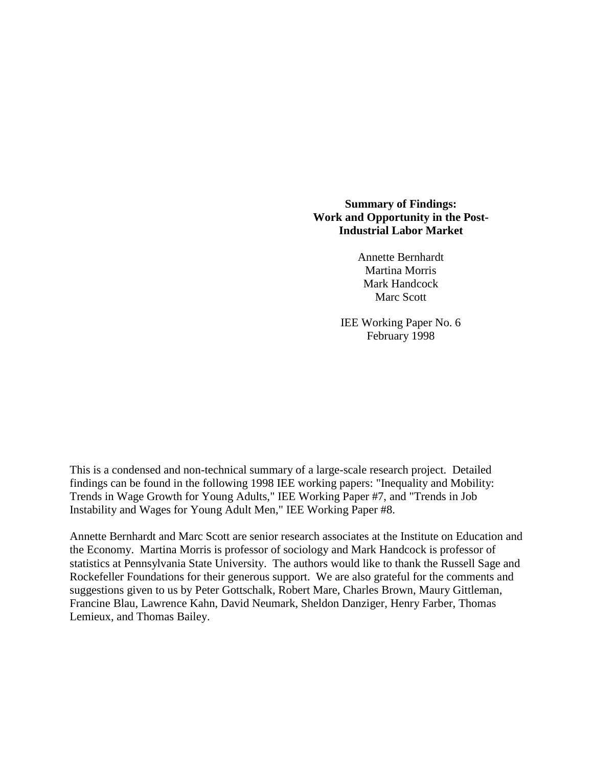### **Summary of Findings: Work and Opportunity in the Post-Industrial Labor Market**

Annette Bernhardt Martina Morris Mark Handcock Marc Scott

IEE Working Paper No. 6 February 1998

This is a condensed and non-technical summary of a large-scale research project. Detailed findings can be found in the following 1998 IEE working papers: "Inequality and Mobility: Trends in Wage Growth for Young Adults," IEE Working Paper #7, and "Trends in Job Instability and Wages for Young Adult Men," IEE Working Paper #8.

Annette Bernhardt and Marc Scott are senior research associates at the Institute on Education and the Economy. Martina Morris is professor of sociology and Mark Handcock is professor of statistics at Pennsylvania State University. The authors would like to thank the Russell Sage and Rockefeller Foundations for their generous support. We are also grateful for the comments and suggestions given to us by Peter Gottschalk, Robert Mare, Charles Brown, Maury Gittleman, Francine Blau, Lawrence Kahn, David Neumark, Sheldon Danziger, Henry Farber, Thomas Lemieux, and Thomas Bailey.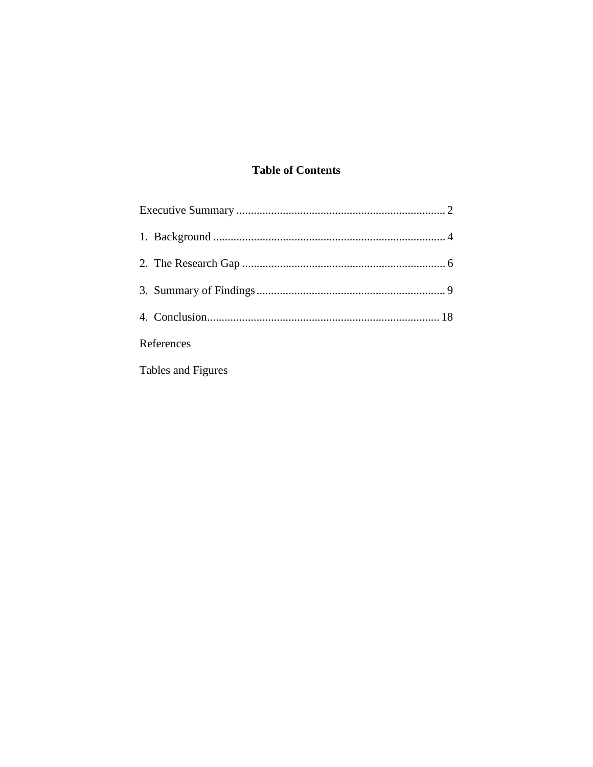## **Table of Contents**

| References                                                                                                                                          |  |
|-----------------------------------------------------------------------------------------------------------------------------------------------------|--|
| $\mathbf{r}$ and $\mathbf{r}$ are the set of $\mathbf{r}$ and $\mathbf{r}$ are the set of $\mathbf{r}$ and $\mathbf{r}$ are the set of $\mathbf{r}$ |  |

Tables and Figures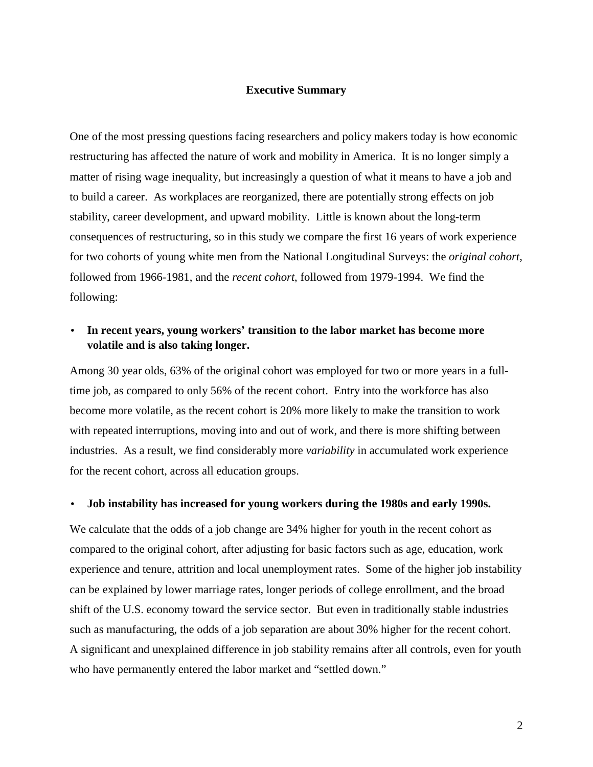#### **Executive Summary**

One of the most pressing questions facing researchers and policy makers today is how economic restructuring has affected the nature of work and mobility in America. It is no longer simply a matter of rising wage inequality, but increasingly a question of what it means to have a job and to build a career. As workplaces are reorganized, there are potentially strong effects on job stability, career development, and upward mobility. Little is known about the long-term consequences of restructuring, so in this study we compare the first 16 years of work experience for two cohorts of young white men from the National Longitudinal Surveys: the *original cohort*, followed from 1966-1981, and the *recent cohort*, followed from 1979-1994. We find the following:

### • **In recent years, young workers' transition to the labor market has become more volatile and is also taking longer.**

Among 30 year olds, 63% of the original cohort was employed for two or more years in a fulltime job, as compared to only 56% of the recent cohort. Entry into the workforce has also become more volatile, as the recent cohort is 20% more likely to make the transition to work with repeated interruptions, moving into and out of work, and there is more shifting between industries. As a result, we find considerably more *variability* in accumulated work experience for the recent cohort, across all education groups.

#### • **Job instability has increased for young workers during the 1980s and early 1990s.**

We calculate that the odds of a job change are  $34\%$  higher for youth in the recent cohort as compared to the original cohort, after adjusting for basic factors such as age, education, work experience and tenure, attrition and local unemployment rates. Some of the higher job instability can be explained by lower marriage rates, longer periods of college enrollment, and the broad shift of the U.S. economy toward the service sector. But even in traditionally stable industries such as manufacturing, the odds of a job separation are about 30% higher for the recent cohort. A significant and unexplained difference in job stability remains after all controls, even for youth who have permanently entered the labor market and "settled down."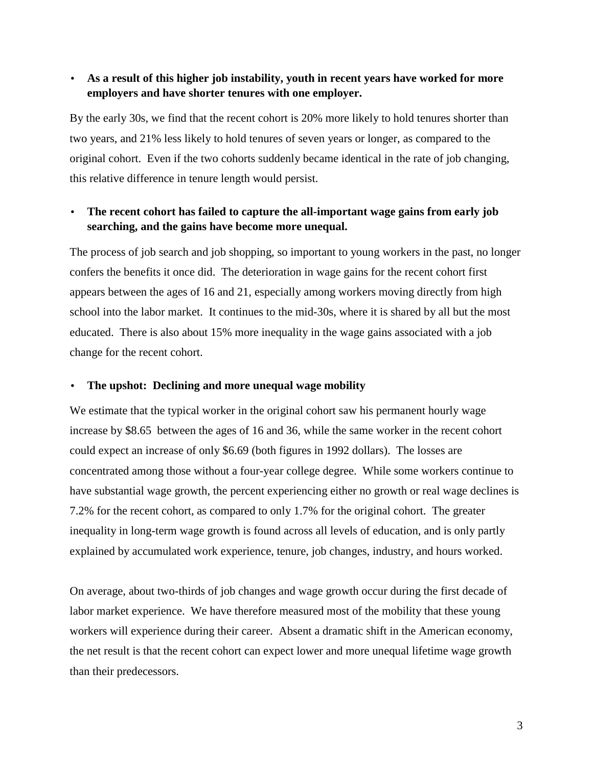### • **As a result of this higher job instability, youth in recent years have worked for more employers and have shorter tenures with one employer.**

By the early 30s, we find that the recent cohort is 20% more likely to hold tenures shorter than two years, and 21% less likely to hold tenures of seven years or longer, as compared to the original cohort. Even if the two cohorts suddenly became identical in the rate of job changing, this relative difference in tenure length would persist.

### • **The recent cohort has failed to capture the all-important wage gains from early job searching, and the gains have become more unequal.**

The process of job search and job shopping, so important to young workers in the past, no longer confers the benefits it once did. The deterioration in wage gains for the recent cohort first appears between the ages of 16 and 21, especially among workers moving directly from high school into the labor market. It continues to the mid-30s, where it is shared by all but the most educated. There is also about 15% more inequality in the wage gains associated with a job change for the recent cohort.

#### • **The upshot: Declining and more unequal wage mobility**

We estimate that the typical worker in the original cohort saw his permanent hourly wage increase by \$8.65 between the ages of 16 and 36, while the same worker in the recent cohort could expect an increase of only \$6.69 (both figures in 1992 dollars). The losses are concentrated among those without a four-year college degree. While some workers continue to have substantial wage growth, the percent experiencing either no growth or real wage declines is 7.2% for the recent cohort, as compared to only 1.7% for the original cohort. The greater inequality in long-term wage growth is found across all levels of education, and is only partly explained by accumulated work experience, tenure, job changes, industry, and hours worked.

On average, about two-thirds of job changes and wage growth occur during the first decade of labor market experience. We have therefore measured most of the mobility that these young workers will experience during their career. Absent a dramatic shift in the American economy, the net result is that the recent cohort can expect lower and more unequal lifetime wage growth than their predecessors.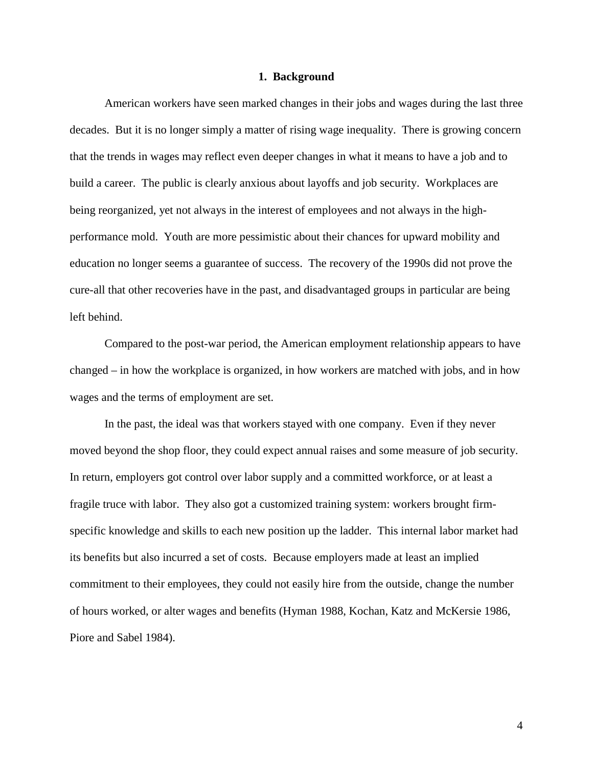#### **1. Background**

American workers have seen marked changes in their jobs and wages during the last three decades. But it is no longer simply a matter of rising wage inequality. There is growing concern that the trends in wages may reflect even deeper changes in what it means to have a job and to build a career. The public is clearly anxious about layoffs and job security. Workplaces are being reorganized, yet not always in the interest of employees and not always in the highperformance mold. Youth are more pessimistic about their chances for upward mobility and education no longer seems a guarantee of success. The recovery of the 1990s did not prove the cure-all that other recoveries have in the past, and disadvantaged groups in particular are being left behind.

Compared to the post-war period, the American employment relationship appears to have changed – in how the workplace is organized, in how workers are matched with jobs, and in how wages and the terms of employment are set.

In the past, the ideal was that workers stayed with one company. Even if they never moved beyond the shop floor, they could expect annual raises and some measure of job security. In return, employers got control over labor supply and a committed workforce, or at least a fragile truce with labor. They also got a customized training system: workers brought firmspecific knowledge and skills to each new position up the ladder. This internal labor market had its benefits but also incurred a set of costs. Because employers made at least an implied commitment to their employees, they could not easily hire from the outside, change the number of hours worked, or alter wages and benefits (Hyman 1988, Kochan, Katz and McKersie 1986, Piore and Sabel 1984).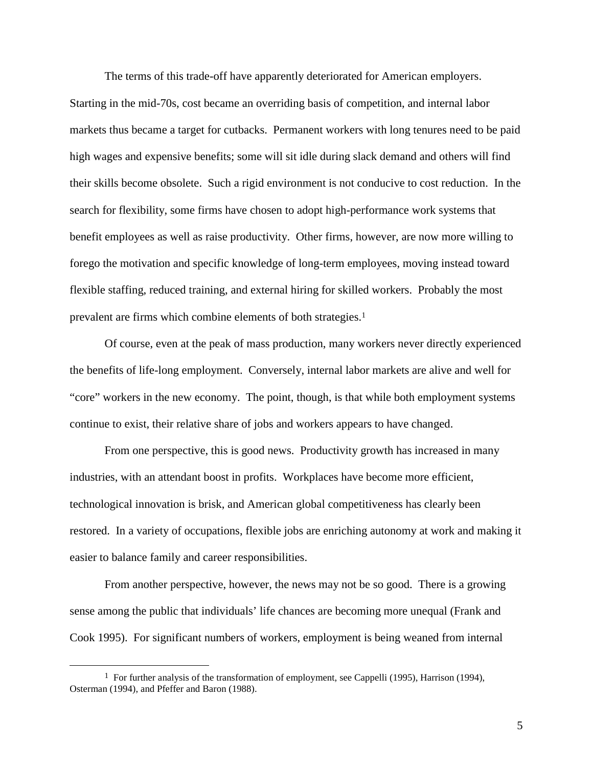The terms of this trade-off have apparently deteriorated for American employers.

Starting in the mid-70s, cost became an overriding basis of competition, and internal labor markets thus became a target for cutbacks. Permanent workers with long tenures need to be paid high wages and expensive benefits; some will sit idle during slack demand and others will find their skills become obsolete. Such a rigid environment is not conducive to cost reduction. In the search for flexibility, some firms have chosen to adopt high-performance work systems that benefit employees as well as raise productivity. Other firms, however, are now more willing to forego the motivation and specific knowledge of long-term employees, moving instead toward flexible staffing, reduced training, and external hiring for skilled workers. Probably the most prevalent are firms which combine elements of both strategies.1

Of course, even at the peak of mass production, many workers never directly experienced the benefits of life-long employment. Conversely, internal labor markets are alive and well for "core" workers in the new economy. The point, though, is that while both employment systems continue to exist, their relative share of jobs and workers appears to have changed.

From one perspective, this is good news. Productivity growth has increased in many industries, with an attendant boost in profits. Workplaces have become more efficient, technological innovation is brisk, and American global competitiveness has clearly been restored. In a variety of occupations, flexible jobs are enriching autonomy at work and making it easier to balance family and career responsibilities.

From another perspective, however, the news may not be so good. There is a growing sense among the public that individuals' life chances are becoming more unequal (Frank and Cook 1995). For significant numbers of workers, employment is being weaned from internal

<sup>&</sup>lt;sup>1</sup> For further analysis of the transformation of employment, see Cappelli (1995), Harrison (1994), Osterman (1994), and Pfeffer and Baron (1988).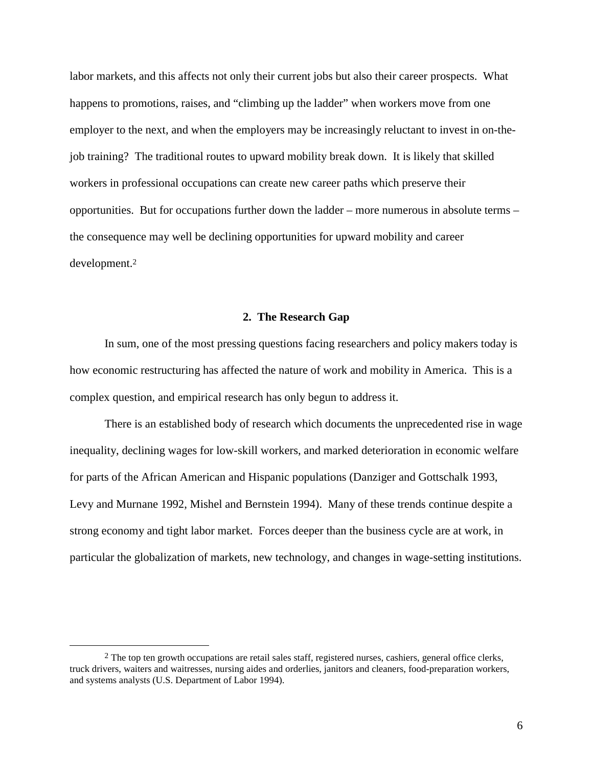labor markets, and this affects not only their current jobs but also their career prospects. What happens to promotions, raises, and "climbing up the ladder" when workers move from one employer to the next, and when the employers may be increasingly reluctant to invest in on-thejob training? The traditional routes to upward mobility break down. It is likely that skilled workers in professional occupations can create new career paths which preserve their opportunities. But for occupations further down the ladder – more numerous in absolute terms – the consequence may well be declining opportunities for upward mobility and career development.2

#### **2. The Research Gap**

In sum, one of the most pressing questions facing researchers and policy makers today is how economic restructuring has affected the nature of work and mobility in America. This is a complex question, and empirical research has only begun to address it.

There is an established body of research which documents the unprecedented rise in wage inequality, declining wages for low-skill workers, and marked deterioration in economic welfare for parts of the African American and Hispanic populations (Danziger and Gottschalk 1993, Levy and Murnane 1992, Mishel and Bernstein 1994). Many of these trends continue despite a strong economy and tight labor market. Forces deeper than the business cycle are at work, in particular the globalization of markets, new technology, and changes in wage-setting institutions.

<sup>&</sup>lt;sup>2</sup> The top ten growth occupations are retail sales staff, registered nurses, cashiers, general office clerks, truck drivers, waiters and waitresses, nursing aides and orderlies, janitors and cleaners, food-preparation workers, and systems analysts (U.S. Department of Labor 1994).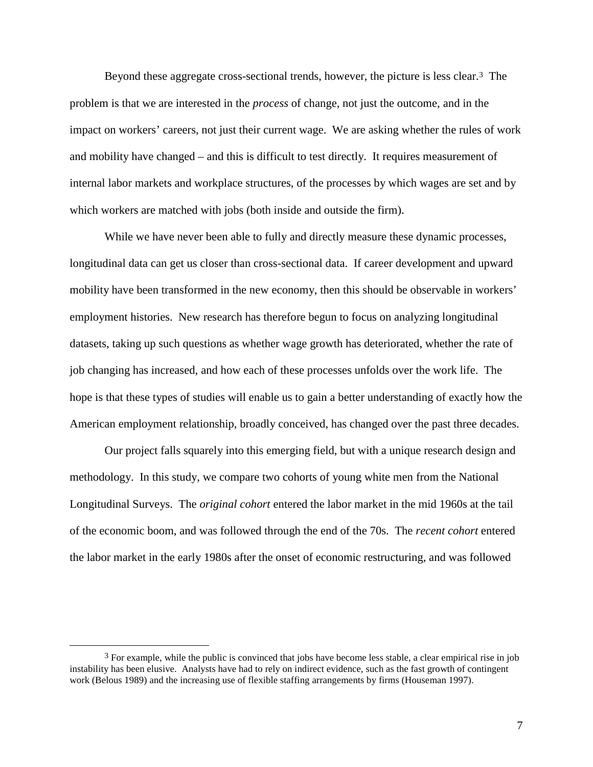Beyond these aggregate cross-sectional trends, however, the picture is less clear.3 The problem is that we are interested in the *process* of change, not just the outcome, and in the impact on workers' careers, not just their current wage. We are asking whether the rules of work and mobility have changed – and this is difficult to test directly. It requires measurement of internal labor markets and workplace structures, of the processes by which wages are set and by which workers are matched with jobs (both inside and outside the firm).

While we have never been able to fully and directly measure these dynamic processes, longitudinal data can get us closer than cross-sectional data. If career development and upward mobility have been transformed in the new economy, then this should be observable in workers' employment histories. New research has therefore begun to focus on analyzing longitudinal datasets, taking up such questions as whether wage growth has deteriorated, whether the rate of job changing has increased, and how each of these processes unfolds over the work life. The hope is that these types of studies will enable us to gain a better understanding of exactly how the American employment relationship, broadly conceived, has changed over the past three decades.

Our project falls squarely into this emerging field, but with a unique research design and methodology. In this study, we compare two cohorts of young white men from the National Longitudinal Surveys. The *original cohort* entered the labor market in the mid 1960s at the tail of the economic boom, and was followed through the end of the 70s. The *recent cohort* entered the labor market in the early 1980s after the onset of economic restructuring, and was followed

 <sup>3</sup> For example, while the public is convinced that jobs have become less stable, a clear empirical rise in job instability has been elusive. Analysts have had to rely on indirect evidence, such as the fast growth of contingent work (Belous 1989) and the increasing use of flexible staffing arrangements by firms (Houseman 1997).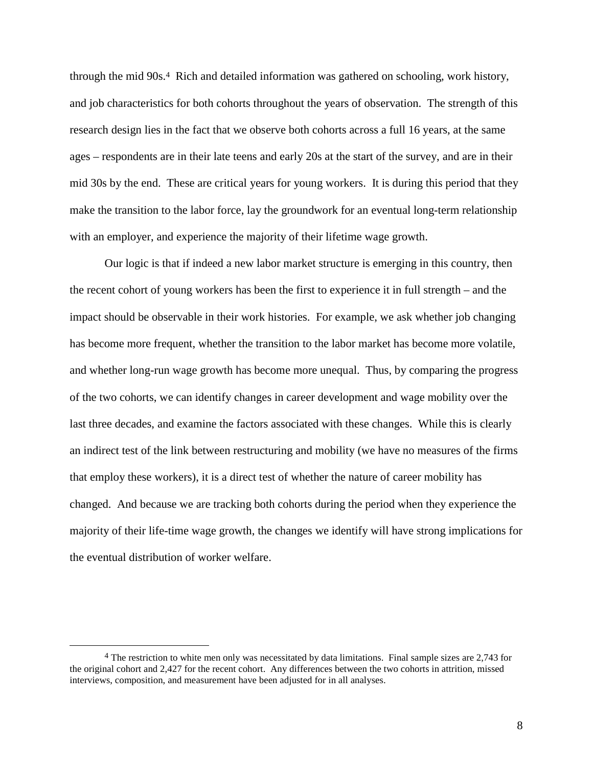through the mid 90s.4 Rich and detailed information was gathered on schooling, work history, and job characteristics for both cohorts throughout the years of observation. The strength of this research design lies in the fact that we observe both cohorts across a full 16 years, at the same ages – respondents are in their late teens and early 20s at the start of the survey, and are in their mid 30s by the end. These are critical years for young workers. It is during this period that they make the transition to the labor force, lay the groundwork for an eventual long-term relationship with an employer, and experience the majority of their lifetime wage growth.

Our logic is that if indeed a new labor market structure is emerging in this country, then the recent cohort of young workers has been the first to experience it in full strength – and the impact should be observable in their work histories. For example, we ask whether job changing has become more frequent, whether the transition to the labor market has become more volatile, and whether long-run wage growth has become more unequal. Thus, by comparing the progress of the two cohorts, we can identify changes in career development and wage mobility over the last three decades, and examine the factors associated with these changes. While this is clearly an indirect test of the link between restructuring and mobility (we have no measures of the firms that employ these workers), it is a direct test of whether the nature of career mobility has changed. And because we are tracking both cohorts during the period when they experience the majority of their life-time wage growth, the changes we identify will have strong implications for the eventual distribution of worker welfare.

<sup>&</sup>lt;sup>4</sup> The restriction to white men only was necessitated by data limitations. Final sample sizes are 2,743 for the original cohort and 2,427 for the recent cohort. Any differences between the two cohorts in attrition, missed interviews, composition, and measurement have been adjusted for in all analyses.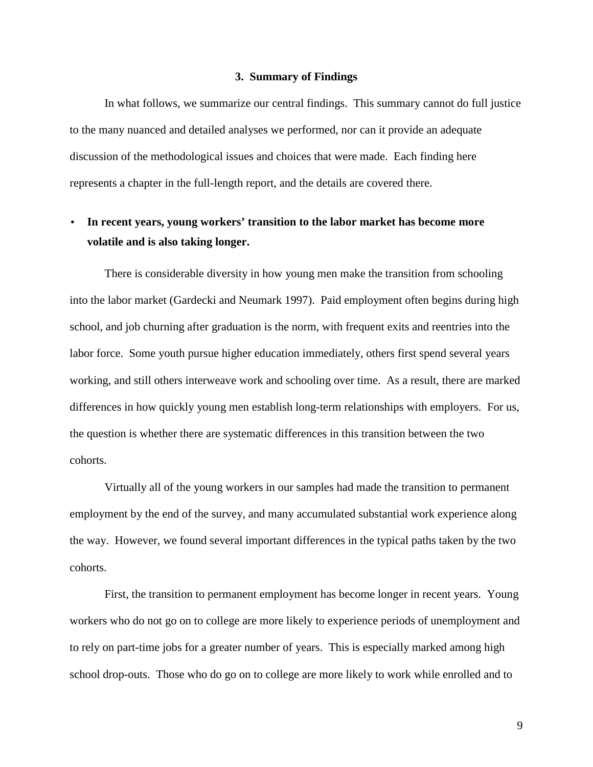#### **3. Summary of Findings**

In what follows, we summarize our central findings. This summary cannot do full justice to the many nuanced and detailed analyses we performed, nor can it provide an adequate discussion of the methodological issues and choices that were made. Each finding here represents a chapter in the full-length report, and the details are covered there.

# • **In recent years, young workers' transition to the labor market has become more volatile and is also taking longer.**

There is considerable diversity in how young men make the transition from schooling into the labor market (Gardecki and Neumark 1997). Paid employment often begins during high school, and job churning after graduation is the norm, with frequent exits and reentries into the labor force. Some youth pursue higher education immediately, others first spend several years working, and still others interweave work and schooling over time. As a result, there are marked differences in how quickly young men establish long-term relationships with employers. For us, the question is whether there are systematic differences in this transition between the two cohorts.

Virtually all of the young workers in our samples had made the transition to permanent employment by the end of the survey, and many accumulated substantial work experience along the way. However, we found several important differences in the typical paths taken by the two cohorts.

First, the transition to permanent employment has become longer in recent years. Young workers who do not go on to college are more likely to experience periods of unemployment and to rely on part-time jobs for a greater number of years. This is especially marked among high school drop-outs. Those who do go on to college are more likely to work while enrolled and to

9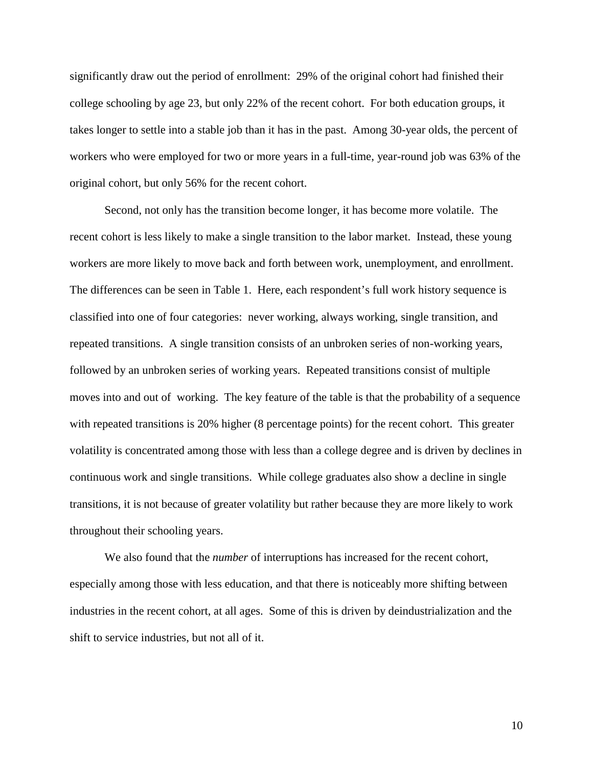significantly draw out the period of enrollment: 29% of the original cohort had finished their college schooling by age 23, but only 22% of the recent cohort. For both education groups, it takes longer to settle into a stable job than it has in the past. Among 30-year olds, the percent of workers who were employed for two or more years in a full-time, year-round job was 63% of the original cohort, but only 56% for the recent cohort.

Second, not only has the transition become longer, it has become more volatile. The recent cohort is less likely to make a single transition to the labor market. Instead, these young workers are more likely to move back and forth between work, unemployment, and enrollment. The differences can be seen in Table 1. Here, each respondent's full work history sequence is classified into one of four categories: never working, always working, single transition, and repeated transitions. A single transition consists of an unbroken series of non-working years, followed by an unbroken series of working years. Repeated transitions consist of multiple moves into and out of working. The key feature of the table is that the probability of a sequence with repeated transitions is 20% higher (8 percentage points) for the recent cohort. This greater volatility is concentrated among those with less than a college degree and is driven by declines in continuous work and single transitions. While college graduates also show a decline in single transitions, it is not because of greater volatility but rather because they are more likely to work throughout their schooling years.

We also found that the *number* of interruptions has increased for the recent cohort, especially among those with less education, and that there is noticeably more shifting between industries in the recent cohort, at all ages. Some of this is driven by deindustrialization and the shift to service industries, but not all of it.

10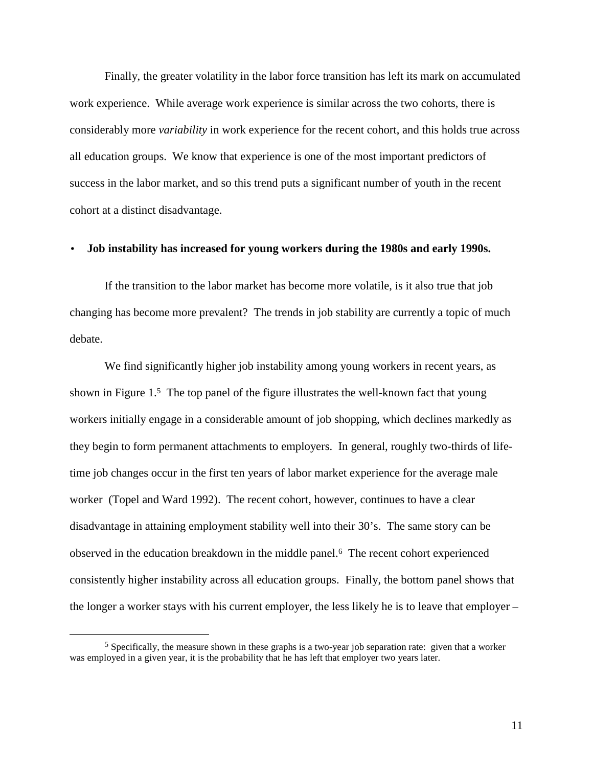Finally, the greater volatility in the labor force transition has left its mark on accumulated work experience. While average work experience is similar across the two cohorts, there is considerably more *variability* in work experience for the recent cohort, and this holds true across all education groups. We know that experience is one of the most important predictors of success in the labor market, and so this trend puts a significant number of youth in the recent cohort at a distinct disadvantage.

#### • **Job instability has increased for young workers during the 1980s and early 1990s.**

If the transition to the labor market has become more volatile, is it also true that job changing has become more prevalent? The trends in job stability are currently a topic of much debate.

We find significantly higher job instability among young workers in recent years, as shown in Figure  $1.5$  The top panel of the figure illustrates the well-known fact that young workers initially engage in a considerable amount of job shopping, which declines markedly as they begin to form permanent attachments to employers. In general, roughly two-thirds of lifetime job changes occur in the first ten years of labor market experience for the average male worker (Topel and Ward 1992). The recent cohort, however, continues to have a clear disadvantage in attaining employment stability well into their 30's. The same story can be observed in the education breakdown in the middle panel.6 The recent cohort experienced consistently higher instability across all education groups. Finally, the bottom panel shows that the longer a worker stays with his current employer, the less likely he is to leave that employer –

 $<sup>5</sup>$  Specifically, the measure shown in these graphs is a two-year job separation rate: given that a worker</sup> was employed in a given year, it is the probability that he has left that employer two years later.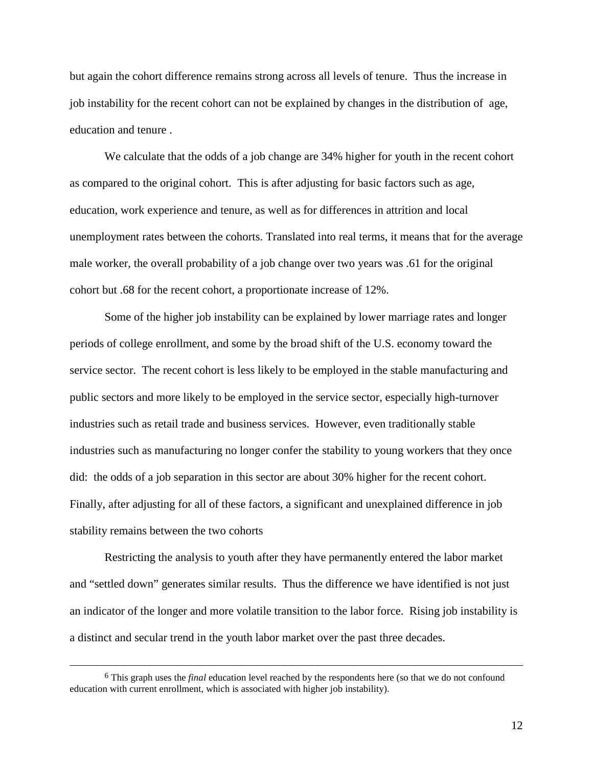but again the cohort difference remains strong across all levels of tenure. Thus the increase in job instability for the recent cohort can not be explained by changes in the distribution of age, education and tenure .

We calculate that the odds of a job change are 34% higher for youth in the recent cohort as compared to the original cohort. This is after adjusting for basic factors such as age, education, work experience and tenure, as well as for differences in attrition and local unemployment rates between the cohorts. Translated into real terms, it means that for the average male worker, the overall probability of a job change over two years was .61 for the original cohort but .68 for the recent cohort, a proportionate increase of 12%.

Some of the higher job instability can be explained by lower marriage rates and longer periods of college enrollment, and some by the broad shift of the U.S. economy toward the service sector. The recent cohort is less likely to be employed in the stable manufacturing and public sectors and more likely to be employed in the service sector, especially high-turnover industries such as retail trade and business services. However, even traditionally stable industries such as manufacturing no longer confer the stability to young workers that they once did: the odds of a job separation in this sector are about 30% higher for the recent cohort. Finally, after adjusting for all of these factors, a significant and unexplained difference in job stability remains between the two cohorts

Restricting the analysis to youth after they have permanently entered the labor market and "settled down" generates similar results. Thus the difference we have identified is not just an indicator of the longer and more volatile transition to the labor force. Rising job instability is a distinct and secular trend in the youth labor market over the past three decades.

 <sup>6</sup> This graph uses the *final* education level reached by the respondents here (so that we do not confound education with current enrollment, which is associated with higher job instability).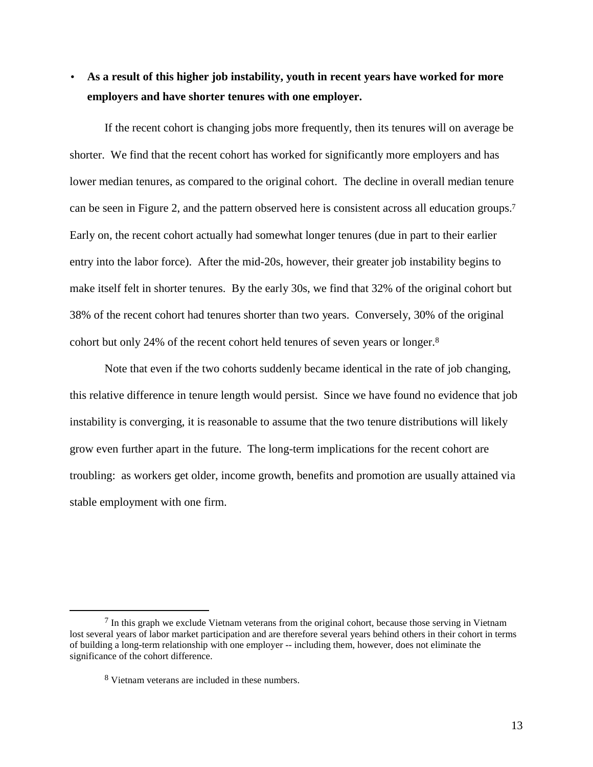## • **As a result of this higher job instability, youth in recent years have worked for more employers and have shorter tenures with one employer.**

If the recent cohort is changing jobs more frequently, then its tenures will on average be shorter. We find that the recent cohort has worked for significantly more employers and has lower median tenures, as compared to the original cohort. The decline in overall median tenure can be seen in Figure 2, and the pattern observed here is consistent across all education groups.7 Early on, the recent cohort actually had somewhat longer tenures (due in part to their earlier entry into the labor force). After the mid-20s, however, their greater job instability begins to make itself felt in shorter tenures. By the early 30s, we find that 32% of the original cohort but 38% of the recent cohort had tenures shorter than two years. Conversely, 30% of the original cohort but only 24% of the recent cohort held tenures of seven years or longer.8

Note that even if the two cohorts suddenly became identical in the rate of job changing, this relative difference in tenure length would persist. Since we have found no evidence that job instability is converging, it is reasonable to assume that the two tenure distributions will likely grow even further apart in the future. The long-term implications for the recent cohort are troubling: as workers get older, income growth, benefits and promotion are usually attained via stable employment with one firm.

13

 $<sup>7</sup>$  In this graph we exclude Vietnam veterans from the original cohort, because those serving in Vietnam</sup> lost several years of labor market participation and are therefore several years behind others in their cohort in terms of building a long-term relationship with one employer -- including them, however, does not eliminate the significance of the cohort difference.

<sup>8</sup> Vietnam veterans are included in these numbers.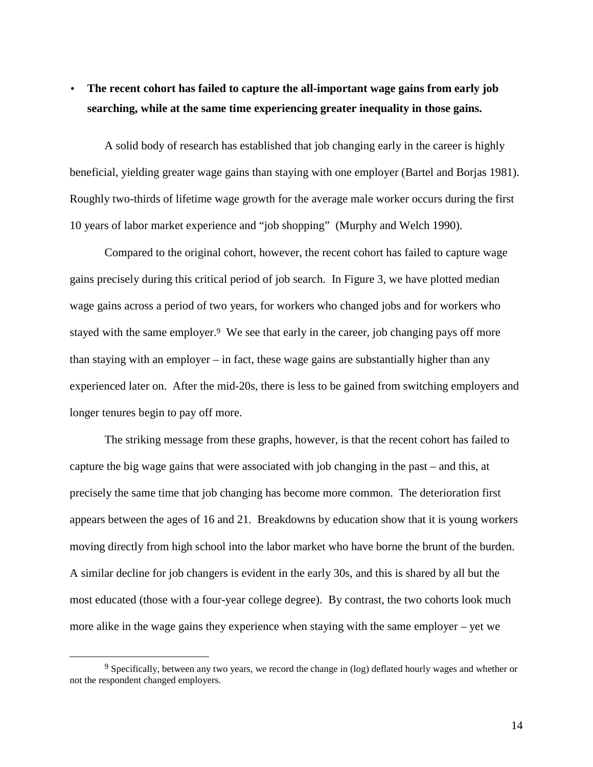## • **The recent cohort has failed to capture the all-important wage gains from early job searching, while at the same time experiencing greater inequality in those gains.**

A solid body of research has established that job changing early in the career is highly beneficial, yielding greater wage gains than staying with one employer (Bartel and Borjas 1981). Roughly two-thirds of lifetime wage growth for the average male worker occurs during the first 10 years of labor market experience and "job shopping" (Murphy and Welch 1990).

Compared to the original cohort, however, the recent cohort has failed to capture wage gains precisely during this critical period of job search. In Figure 3, we have plotted median wage gains across a period of two years, for workers who changed jobs and for workers who stayed with the same employer.<sup>9</sup> We see that early in the career, job changing pays off more than staying with an employer – in fact, these wage gains are substantially higher than any experienced later on. After the mid-20s, there is less to be gained from switching employers and longer tenures begin to pay off more.

The striking message from these graphs, however, is that the recent cohort has failed to capture the big wage gains that were associated with job changing in the past – and this, at precisely the same time that job changing has become more common. The deterioration first appears between the ages of 16 and 21. Breakdowns by education show that it is young workers moving directly from high school into the labor market who have borne the brunt of the burden. A similar decline for job changers is evident in the early 30s, and this is shared by all but the most educated (those with a four-year college degree). By contrast, the two cohorts look much more alike in the wage gains they experience when staying with the same employer – yet we

<sup>&</sup>lt;sup>9</sup> Specifically, between any two years, we record the change in (log) deflated hourly wages and whether or not the respondent changed employers.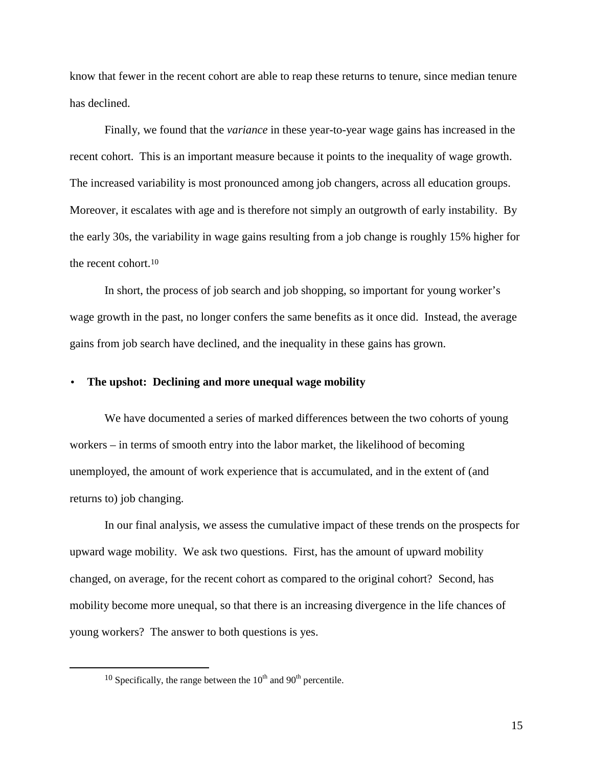know that fewer in the recent cohort are able to reap these returns to tenure, since median tenure has declined.

Finally, we found that the *variance* in these year-to-year wage gains has increased in the recent cohort. This is an important measure because it points to the inequality of wage growth. The increased variability is most pronounced among job changers, across all education groups. Moreover, it escalates with age and is therefore not simply an outgrowth of early instability. By the early 30s, the variability in wage gains resulting from a job change is roughly 15% higher for the recent cohort.10

In short, the process of job search and job shopping, so important for young worker's wage growth in the past, no longer confers the same benefits as it once did. Instead, the average gains from job search have declined, and the inequality in these gains has grown.

#### • **The upshot: Declining and more unequal wage mobility**

We have documented a series of marked differences between the two cohorts of young workers – in terms of smooth entry into the labor market, the likelihood of becoming unemployed, the amount of work experience that is accumulated, and in the extent of (and returns to) job changing.

In our final analysis, we assess the cumulative impact of these trends on the prospects for upward wage mobility. We ask two questions. First, has the amount of upward mobility changed, on average, for the recent cohort as compared to the original cohort? Second, has mobility become more unequal, so that there is an increasing divergence in the life chances of young workers? The answer to both questions is yes.

 $10$  Specifically, the range between the  $10^{th}$  and  $90^{th}$  percentile.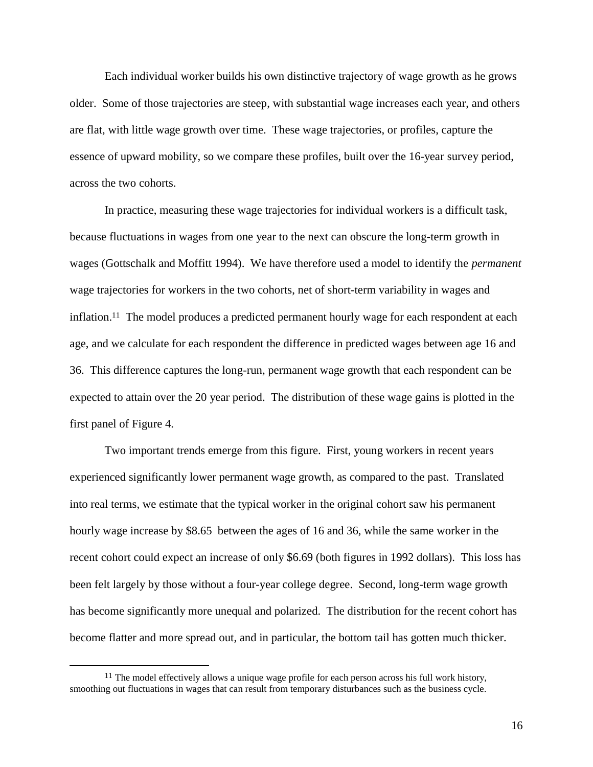Each individual worker builds his own distinctive trajectory of wage growth as he grows older. Some of those trajectories are steep, with substantial wage increases each year, and others are flat, with little wage growth over time. These wage trajectories, or profiles, capture the essence of upward mobility, so we compare these profiles, built over the 16-year survey period, across the two cohorts.

In practice, measuring these wage trajectories for individual workers is a difficult task, because fluctuations in wages from one year to the next can obscure the long-term growth in wages (Gottschalk and Moffitt 1994). We have therefore used a model to identify the *permanent* wage trajectories for workers in the two cohorts, net of short-term variability in wages and inflation.11 The model produces a predicted permanent hourly wage for each respondent at each age, and we calculate for each respondent the difference in predicted wages between age 16 and 36. This difference captures the long-run, permanent wage growth that each respondent can be expected to attain over the 20 year period. The distribution of these wage gains is plotted in the first panel of Figure 4.

Two important trends emerge from this figure. First, young workers in recent years experienced significantly lower permanent wage growth, as compared to the past. Translated into real terms, we estimate that the typical worker in the original cohort saw his permanent hourly wage increase by \$8.65 between the ages of 16 and 36, while the same worker in the recent cohort could expect an increase of only \$6.69 (both figures in 1992 dollars). This loss has been felt largely by those without a four-year college degree. Second, long-term wage growth has become significantly more unequal and polarized. The distribution for the recent cohort has become flatter and more spread out, and in particular, the bottom tail has gotten much thicker.

<sup>&</sup>lt;sup>11</sup> The model effectively allows a unique wage profile for each person across his full work history, smoothing out fluctuations in wages that can result from temporary disturbances such as the business cycle.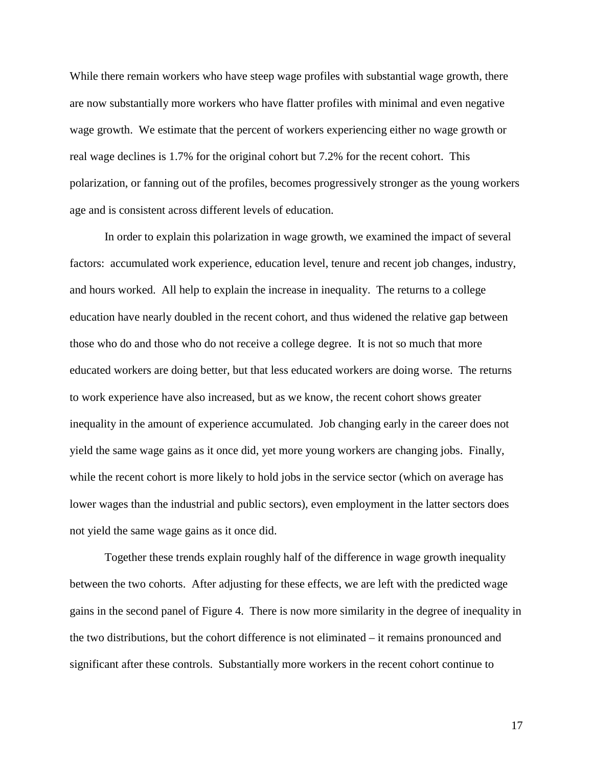While there remain workers who have steep wage profiles with substantial wage growth, there are now substantially more workers who have flatter profiles with minimal and even negative wage growth. We estimate that the percent of workers experiencing either no wage growth or real wage declines is 1.7% for the original cohort but 7.2% for the recent cohort. This polarization, or fanning out of the profiles, becomes progressively stronger as the young workers age and is consistent across different levels of education.

In order to explain this polarization in wage growth, we examined the impact of several factors: accumulated work experience, education level, tenure and recent job changes, industry, and hours worked. All help to explain the increase in inequality. The returns to a college education have nearly doubled in the recent cohort, and thus widened the relative gap between those who do and those who do not receive a college degree. It is not so much that more educated workers are doing better, but that less educated workers are doing worse. The returns to work experience have also increased, but as we know, the recent cohort shows greater inequality in the amount of experience accumulated. Job changing early in the career does not yield the same wage gains as it once did, yet more young workers are changing jobs. Finally, while the recent cohort is more likely to hold jobs in the service sector (which on average has lower wages than the industrial and public sectors), even employment in the latter sectors does not yield the same wage gains as it once did.

Together these trends explain roughly half of the difference in wage growth inequality between the two cohorts. After adjusting for these effects, we are left with the predicted wage gains in the second panel of Figure 4. There is now more similarity in the degree of inequality in the two distributions, but the cohort difference is not eliminated – it remains pronounced and significant after these controls. Substantially more workers in the recent cohort continue to

17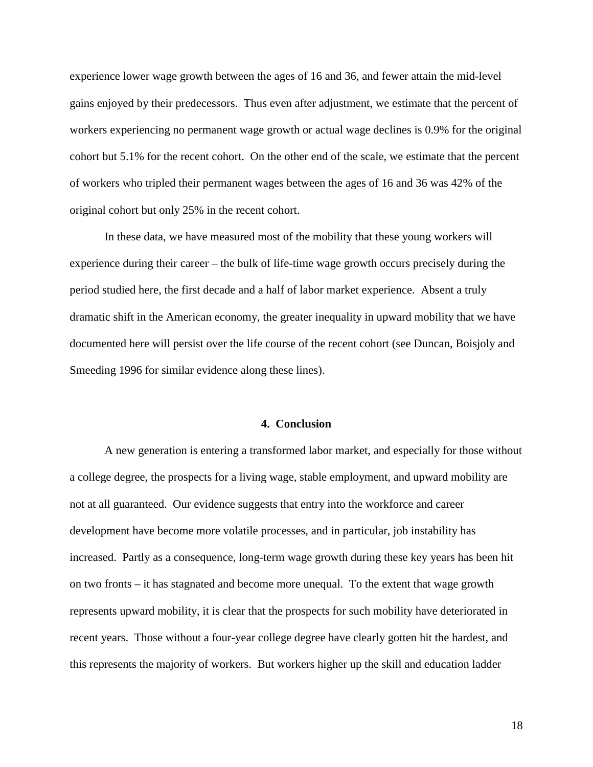experience lower wage growth between the ages of 16 and 36, and fewer attain the mid-level gains enjoyed by their predecessors. Thus even after adjustment, we estimate that the percent of workers experiencing no permanent wage growth or actual wage declines is 0.9% for the original cohort but 5.1% for the recent cohort. On the other end of the scale, we estimate that the percent of workers who tripled their permanent wages between the ages of 16 and 36 was 42% of the original cohort but only 25% in the recent cohort.

In these data, we have measured most of the mobility that these young workers will experience during their career – the bulk of life-time wage growth occurs precisely during the period studied here, the first decade and a half of labor market experience. Absent a truly dramatic shift in the American economy, the greater inequality in upward mobility that we have documented here will persist over the life course of the recent cohort (see Duncan, Boisjoly and Smeeding 1996 for similar evidence along these lines).

#### **4. Conclusion**

A new generation is entering a transformed labor market, and especially for those without a college degree, the prospects for a living wage, stable employment, and upward mobility are not at all guaranteed. Our evidence suggests that entry into the workforce and career development have become more volatile processes, and in particular, job instability has increased. Partly as a consequence, long-term wage growth during these key years has been hit on two fronts – it has stagnated and become more unequal. To the extent that wage growth represents upward mobility, it is clear that the prospects for such mobility have deteriorated in recent years. Those without a four-year college degree have clearly gotten hit the hardest, and this represents the majority of workers. But workers higher up the skill and education ladder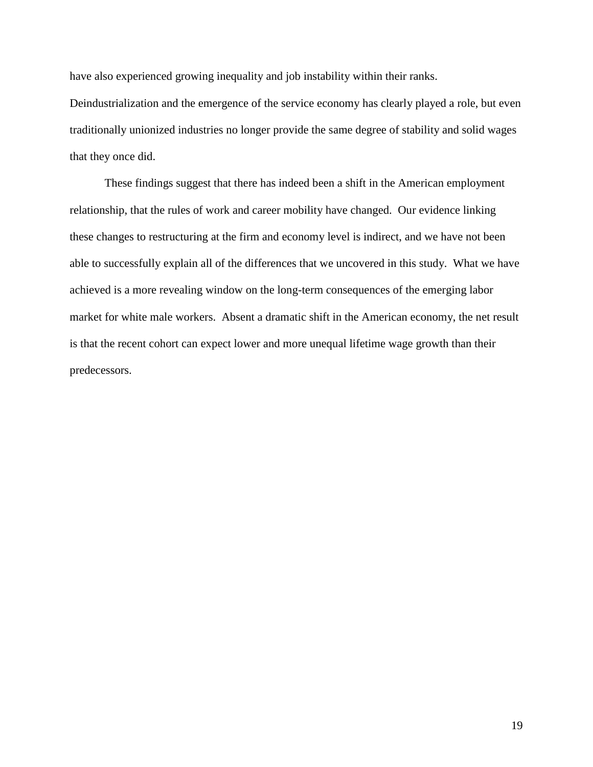have also experienced growing inequality and job instability within their ranks.

Deindustrialization and the emergence of the service economy has clearly played a role, but even traditionally unionized industries no longer provide the same degree of stability and solid wages that they once did.

These findings suggest that there has indeed been a shift in the American employment relationship, that the rules of work and career mobility have changed. Our evidence linking these changes to restructuring at the firm and economy level is indirect, and we have not been able to successfully explain all of the differences that we uncovered in this study. What we have achieved is a more revealing window on the long-term consequences of the emerging labor market for white male workers. Absent a dramatic shift in the American economy, the net result is that the recent cohort can expect lower and more unequal lifetime wage growth than their predecessors.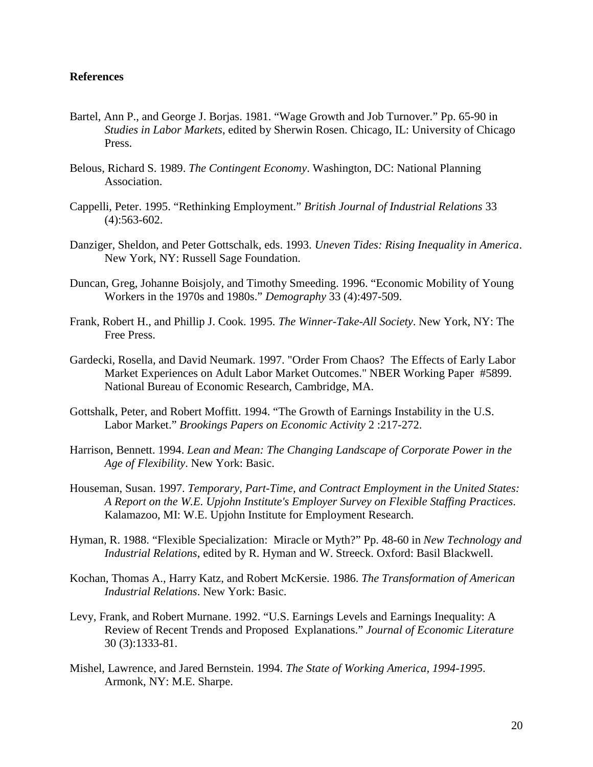#### **References**

- Bartel, Ann P., and George J. Borjas. 1981. "Wage Growth and Job Turnover." Pp. 65-90 in *Studies in Labor Markets*, edited by Sherwin Rosen. Chicago, IL: University of Chicago Press.
- Belous, Richard S. 1989. *The Contingent Economy*. Washington, DC: National Planning Association.
- Cappelli, Peter. 1995. "Rethinking Employment." *British Journal of Industrial Relations* 33 (4):563-602.
- Danziger, Sheldon, and Peter Gottschalk, eds. 1993. *Uneven Tides: Rising Inequality in America*. New York, NY: Russell Sage Foundation.
- Duncan, Greg, Johanne Boisjoly, and Timothy Smeeding. 1996. "Economic Mobility of Young Workers in the 1970s and 1980s." *Demography* 33 (4):497-509.
- Frank, Robert H., and Phillip J. Cook. 1995. *The Winner-Take-All Society*. New York, NY: The Free Press.
- Gardecki, Rosella, and David Neumark. 1997. "Order From Chaos? The Effects of Early Labor Market Experiences on Adult Labor Market Outcomes." NBER Working Paper #5899. National Bureau of Economic Research, Cambridge, MA.
- Gottshalk, Peter, and Robert Moffitt. 1994. "The Growth of Earnings Instability in the U.S. Labor Market." *Brookings Papers on Economic Activity* 2 :217-272.
- Harrison, Bennett. 1994. *Lean and Mean: The Changing Landscape of Corporate Power in the Age of Flexibility*. New York: Basic.
- Houseman, Susan. 1997. *Temporary, Part-Time, and Contract Employment in the United States: A Report on the W.E. Upjohn Institute's Employer Survey on Flexible Staffing Practices*. Kalamazoo, MI: W.E. Upjohn Institute for Employment Research.
- Hyman, R. 1988. "Flexible Specialization: Miracle or Myth?" Pp. 48-60 in *New Technology and Industrial Relations*, edited by R. Hyman and W. Streeck. Oxford: Basil Blackwell.
- Kochan, Thomas A., Harry Katz, and Robert McKersie. 1986. *The Transformation of American Industrial Relations*. New York: Basic.
- Levy, Frank, and Robert Murnane. 1992. "U.S. Earnings Levels and Earnings Inequality: A Review of Recent Trends and Proposed Explanations." *Journal of Economic Literature* 30 (3):1333-81.
- Mishel, Lawrence, and Jared Bernstein. 1994. *The State of Working America, 1994-1995*. Armonk, NY: M.E. Sharpe.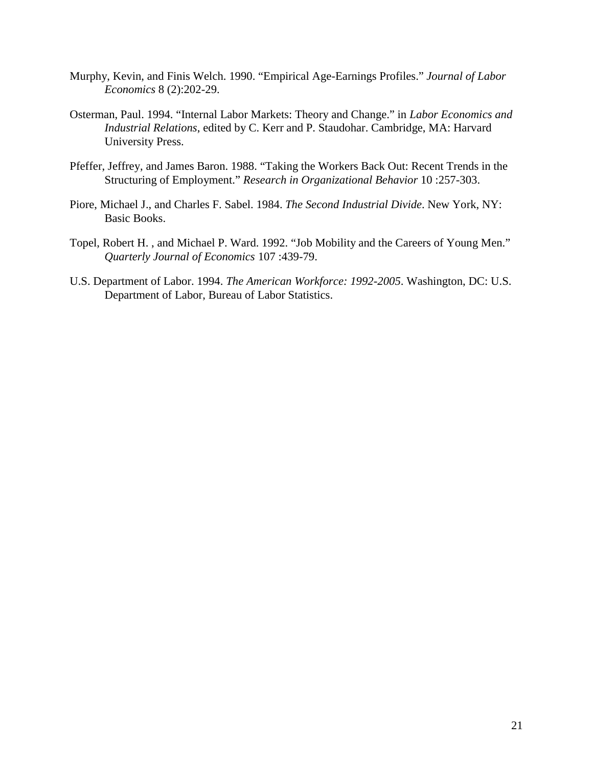- Murphy, Kevin, and Finis Welch. 1990. "Empirical Age-Earnings Profiles." *Journal of Labor Economics* 8 (2):202-29.
- Osterman, Paul. 1994. "Internal Labor Markets: Theory and Change." in *Labor Economics and Industrial Relations*, edited by C. Kerr and P. Staudohar. Cambridge, MA: Harvard University Press.
- Pfeffer, Jeffrey, and James Baron. 1988. "Taking the Workers Back Out: Recent Trends in the Structuring of Employment." *Research in Organizational Behavior* 10 :257-303.
- Piore, Michael J., and Charles F. Sabel. 1984. *The Second Industrial Divide*. New York, NY: Basic Books.
- Topel, Robert H. , and Michael P. Ward. 1992. "Job Mobility and the Careers of Young Men." *Quarterly Journal of Economics* 107 :439-79.
- U.S. Department of Labor. 1994. *The American Workforce: 1992-2005*. Washington, DC: U.S. Department of Labor, Bureau of Labor Statistics.